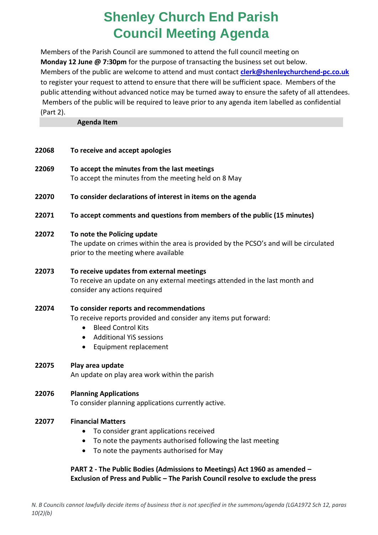# **Shenley Church End Parish Council Meeting Agenda**

Members of the Parish Council are summoned to attend the full council meeting on **Monday 12 June @ 7:30pm** for the purpose of transacting the business set out below. Members of the public are welcome to attend and must contact **[clerk@shenleychurchend-pc.co.uk](mailto:clerk@shenleychurchend-pc.co.uk)** to register your request to attend to ensure that there will be sufficient space. Members of the public attending without advanced notice may be turned away to ensure the safety of all attendees. Members of the public will be required to leave prior to any agenda item labelled as confidential (Part 2).

**Agenda Item**

| 22068 | To receive and accept apologies                                                                                                                                                                                              |
|-------|------------------------------------------------------------------------------------------------------------------------------------------------------------------------------------------------------------------------------|
| 22069 | To accept the minutes from the last meetings<br>To accept the minutes from the meeting held on 8 May                                                                                                                         |
| 22070 | To consider declarations of interest in items on the agenda                                                                                                                                                                  |
| 22071 | To accept comments and questions from members of the public (15 minutes)                                                                                                                                                     |
| 22072 | To note the Policing update<br>The update on crimes within the area is provided by the PCSO's and will be circulated<br>prior to the meeting where available                                                                 |
| 22073 | To receive updates from external meetings<br>To receive an update on any external meetings attended in the last month and<br>consider any actions required                                                                   |
| 22074 | To consider reports and recommendations<br>To receive reports provided and consider any items put forward:<br><b>Bleed Control Kits</b><br><b>Additional YiS sessions</b><br>$\bullet$<br>Equipment replacement<br>$\bullet$ |
| 22075 | Play area update<br>An update on play area work within the parish                                                                                                                                                            |
| 22076 | <b>Planning Applications</b><br>To consider planning applications currently active.                                                                                                                                          |
| 22077 | <b>Financial Matters</b><br>To consider grant applications received<br>$\bullet$<br>To note the payments authorised following the last meeting<br>$\bullet$<br>To note the payments authorised for May<br>$\bullet$          |

#### **PART 2 - The Public Bodies (Admissions to Meetings) Act 1960 as amended – Exclusion of Press and Public – The Parish Council resolve to exclude the press**